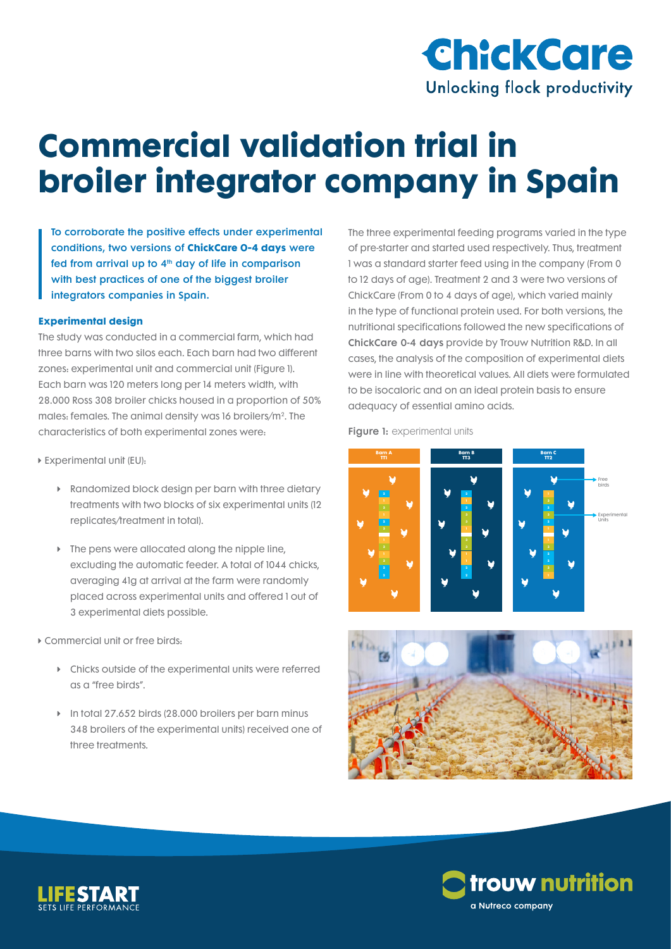

# **Commercial validation trial in broiler integrator company in Spain**

To corroborate the positive effects under experimental conditions, two versions of **ChickCare 0-4 days** were fed from arrival up to  $4<sup>th</sup>$  day of life in comparison with best practices of one of the biggest broiler integrators companies in Spain.

#### **Experimental design**

The study was conducted in a commercial farm, which had three barns with two silos each. Each barn had two different zones: experimental unit and commercial unit (Figure 1). Each barn was 120 meters long per 14 meters width, with 28.000 Ross 308 broiler chicks housed in a proportion of 50% males: females. The animal density was 16 broilers/m2. The characteristics of both experimental zones were:

- ▶ Experimental unit (EU):
	- $\triangleright$  Randomized block design per barn with three dietary treatments with two blocks of six experimental units (12 replicates/treatment in total).
	- $\triangleright$  The pens were allocated along the nipple line, excluding the automatic feeder. A total of 1044 chicks, averaging 41g at arrival at the farm were randomly placed across experimental units and offered 1 out of 3 experimental diets possible.
- Ü Commercial unit or free birds:
	- $\triangleright$  Chicks outside of the experimental units were referred as a "free birds".
	- ▶ In total 27.652 birds (28.000 broilers per barn minus 348 broilers of the experimental units) received one of three treatments.

The three experimental feeding programs varied in the type of pre-starter and started used respectively. Thus, treatment 1 was a standard starter feed using in the company (From 0 to 12 days of age). Treatment 2 and 3 were two versions of ChickCare (From 0 to 4 days of age), which varied mainly in the type of functional protein used. For both versions, the nutritional specifications followed the new specifications of ChickCare 0-4 days provide by Trouw Nutrition R&D. In all cases, the analysis of the composition of experimental diets were in line with theoretical values. All diets were formulated to be isocaloric and on an ideal protein basis to ensure adequacy of essential amino acids.

Figure 1: experimental units







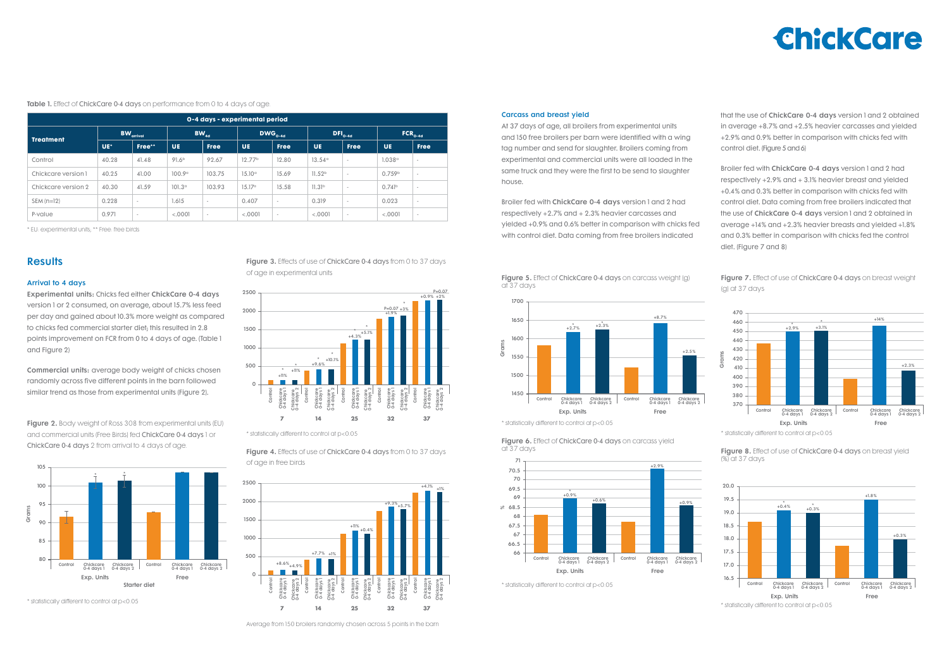### Results

#### Arrival to 4 days

Experimental units: Chicks fed either ChickCare 0-4 days version 1 or 2 consumed, on average, about 15.7% less feed per day and gained about 10.3% more weight as compared to chicks fed commercial starter diet; this resulted in 2.8 points improvement on FCR from 0 to 4 days of age. (Table 1 and Figure 2)

Commercial units: average body weight of chicks chosen randomly across five different points in the barn followed similar trend as those from experimental units (Figure 2).

#### Carcass and breast yield

At 37 days of age, all broilers from experimental units and 150 free broilers per barn were identified with a wing tag number and send for slaughter. Broilers coming from experimental and commercial units were all loaded in the same truck and they were the first to be send to slaughter house.

**Figure 2.** Body weight of Ross 308 from experimental units (EU) and commercial units (Free Birds) fed ChickCare 0-4 days 1 or ChickCare 0-4 days 2 from arrival to 4 days of age.

Broiler fed with ChickCare 0-4 days version 1 and 2 had respectively +2.7% and + 2.3% heavier carcasses and yielded +0.9% and 0.6% better in comparison with chicks fed with control diet. Data coming from free broilers indicated

> Figure 7. Effect of use of ChickCare 0-4 days on breast weight (g) at 37 days

Figure 4. Effects of use of ChickCare 0-4 days from 0 to 37 days of age in free birds

Table 1. Effect of ChickCare 0-4 days on performance from 0 to 4 days of age.

| 0-4 days - experimental period |                       |                          |                   |             |                     |                          |                    |             |                      |                          |  |  |
|--------------------------------|-----------------------|--------------------------|-------------------|-------------|---------------------|--------------------------|--------------------|-------------|----------------------|--------------------------|--|--|
| <b>Treatment</b>               | $BW_{\text{arrival}}$ |                          | $BW_{_{4d}}$      |             | DWG <sub>0-4d</sub> |                          | $DFI_{0-4d}$       |             | $FCR_{o-4d}$         |                          |  |  |
|                                | UE*                   | Free**                   | <b>UE</b>         | <b>Free</b> | <b>UE</b>           | <b>Free</b>              | <b>UE</b>          | <b>Free</b> | <b>UE</b>            | <b>Free</b>              |  |  |
| Control                        | 40.28                 | 41.48                    | 91.6 <sup>b</sup> | 92.67       | 12.77 <sup>b</sup>  | 12.80                    | 13.54°             | $\sim$      | 1.038°               | $\overline{\phantom{a}}$ |  |  |
| Chickcare version 1            | 40.25                 | 41.00                    | 100.9°            | 103.75      | $15.10^{\circ}$     | 15.69                    | 11.52 <sup>b</sup> | $\sim$      | 0.759 <sup>b</sup>   | $\sim$                   |  |  |
| Chickcare version 2            | 40.30                 | 41.59                    | $101.3^\circ$     | 103.93      | $15.17^{\circ}$     | 15.58                    | 11.31 <sup>b</sup> | $\sim$      | $0.741$ <sup>b</sup> | $\sim$                   |  |  |
| $SEM (n=12)$                   | 0.228                 | $\overline{\phantom{a}}$ | 1.615             | $\sim$      | 0.407               | $\overline{\phantom{a}}$ | 0.319              | $\sim$      | 0.023                | $\sim$                   |  |  |
| P-value                        | 0.971                 | $\sim$                   | < .0001           | $\sim$      | < .0001             | $\overline{\phantom{a}}$ | < .0001            | $\sim$      | < .0001              | $\sim$                   |  |  |

Figure 6. Effect of ChickCare 0-4 days on carcass yield at 37 days





\* EU: experimental units; \*\* Free: free birds

\* statistically different to control at p<0.05

Figure 3. Effects of use of ChickCare 0-4 days from 0 to 37 days of age in experimental units **Figure 5.** Effect of ChickCare 0-4 days on carcass weight (g)

\* statistically different to control at p<0.05

\* statistically different to control at p<0.05

\* statistically different to control at p<0.05

\* statistically different to control at p<0.05



Average from 150 broilers randomly chosen across 5 points in the barn



at 37 days











that the use of ChickCare 0-4 days version 1 and 2 obtained in average +8.7% and +2.5% heavier carcasses and yielded +2.9% and 0.9% better in comparison with chicks fed with control diet. (Figure 5 and 6)

Broiler fed with ChickCare 0-4 days version 1 and 2 had respectively +2.9% and + 3.1% heavier breast and yielded +0.4% and 0.3% better in comparison with chicks fed with control diet. Data coming from free broilers indicated that the use of ChickCare 0-4 days version 1 and 2 obtained in average +14% and +2.3% heavier breasts and yielded +1.8% and 0.3% better in comparison with chicks fed the control diet. (Figure 7 and 8)